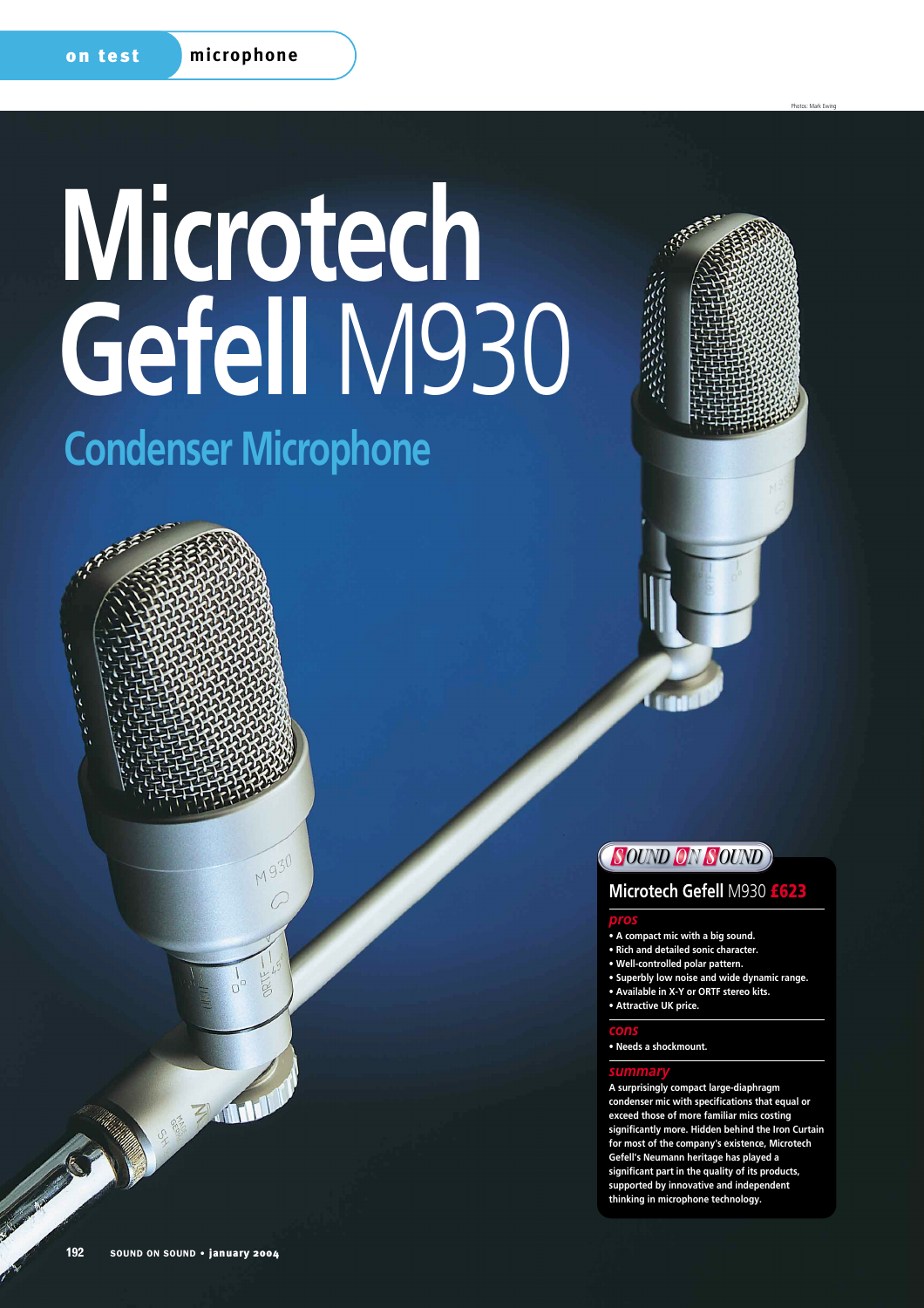# **Microtech Gefell** M930

# **Condenser Microphone**





Photos: Mark Ewing

## **SOUND ON SOUND**

#### **Microtech Gefell** M930 **£623**

#### *pros*

- **A compact mic with a big sound.**
- **Rich and detailed sonic character.**
- **Well-controlled polar pattern.**
- **Superbly low noise and wide dynamic range.**
- **Available in X-Y or ORTF stereo kits.**
- **Attractive UK price.**

#### *cons*

**• Needs a shockmount.**

#### *summary*

**A surprisingly compact large-diaphragm condenser mic with specifications that equal or exceed those of more familiar mics costing significantly more. Hidden behind the Iron Curtain for most of the company's existence, Microtech Gefell's Neumann heritage has played a significant part in the quality of its products, supported by innovative and independent thinking in microphone technology.**

REAL PROPERTY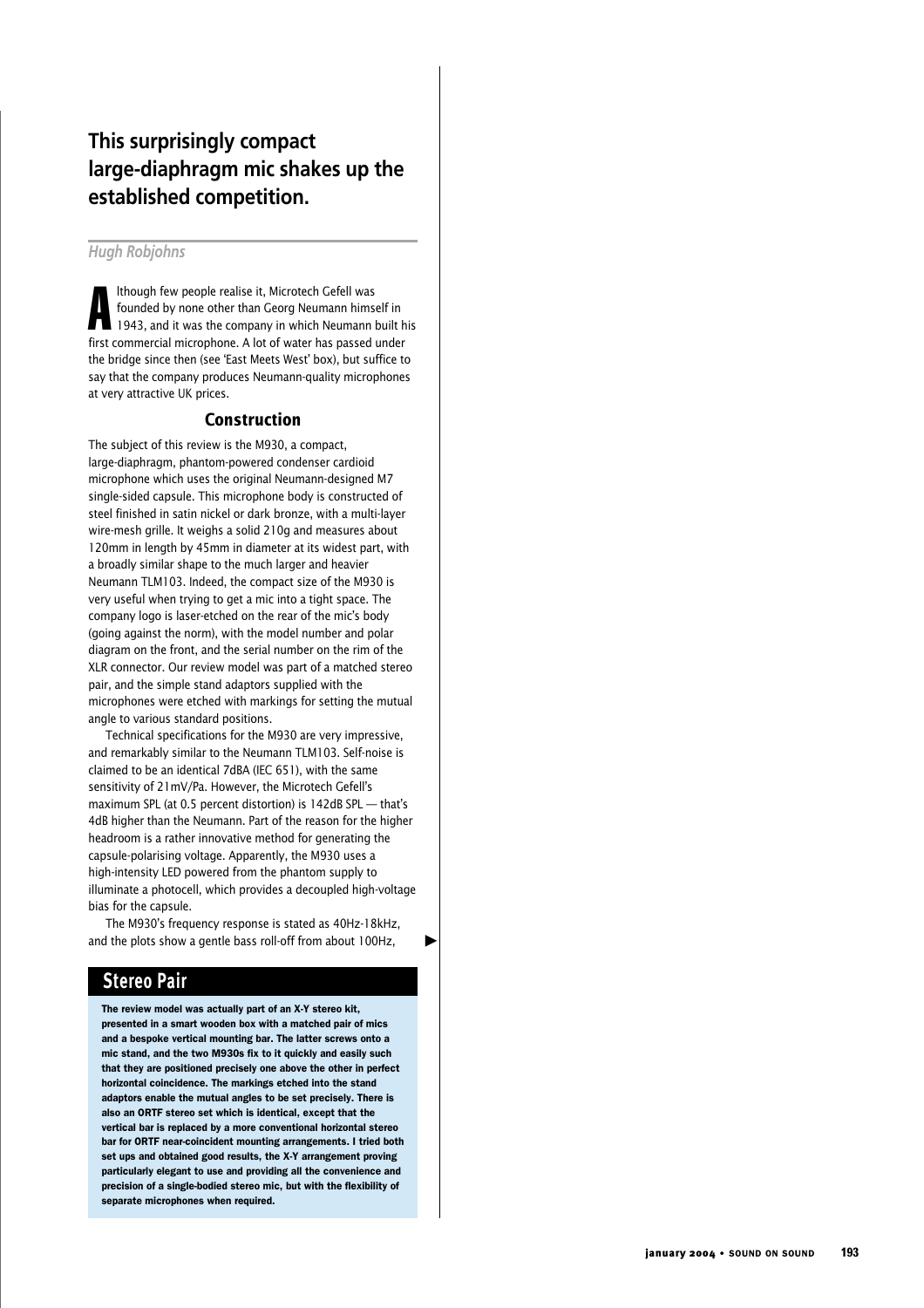## **This surprisingly compact large-diaphragm mic shakes up the established competition.**

#### *Hugh Robjohns*

A lthough few people realise it, Microtech Gefell was founded by none other than Georg Neumann himself in 1943, and it was the company in which Neumann built his first commercial microphone. A lot of water has passed under the bridge since then (see 'East Meets West' box), but suffice to say that the company produces Neumann-quality microphones at very attractive UK prices.

#### **Construction**

The subject of this review is the M930, a compact, large-diaphragm, phantom-powered condenser cardioid microphone which uses the original Neumann-designed M7 single-sided capsule. This microphone body is constructed of steel finished in satin nickel or dark bronze, with a multi-layer wire-mesh grille. It weighs a solid 210g and measures about 120mm in length by 45mm in diameter at its widest part, with a broadly similar shape to the much larger and heavier Neumann TLM103. Indeed, the compact size of the M930 is very useful when trying to get a mic into a tight space. The company logo is laser-etched on the rear of the mic's body (going against the norm), with the model number and polar diagram on the front, and the serial number on the rim of the XLR connector. Our review model was part of a matched stereo pair, and the simple stand adaptors supplied with the microphones were etched with markings for setting the mutual angle to various standard positions.

Technical specifications for the M930 are very impressive, and remarkably similar to the Neumann TLM103. Self-noise is claimed to be an identical 7dBA (IEC 651), with the same sensitivity of 21mV/Pa. However, the Microtech Gefell's maximum SPL (at 0.5 percent distortion) is 142dB SPL — that's 4dB higher than the Neumann. Part of the reason for the higher headroom is a rather innovative method for generating the capsule-polarising voltage. Apparently, the M930 uses a high-intensity LED powered from the phantom supply to illuminate a photocell, which provides a decoupled high-voltage bias for the capsule.

The M930's frequency response is stated as 40Hz-18kHz, and the plots show a gentle bass roll-off from about 100Hz,

▲

**Stereo Pair**

The review model was actually part of an X-Y stereo kit, presented in a smart wooden box with a matched pair of mics and a bespoke vertical mounting bar. The latter screws onto a mic stand, and the two M930s fix to it quickly and easily such that they are positioned precisely one above the other in perfect horizontal coincidence. The markings etched into the stand adaptors enable the mutual angles to be set precisely. There is also an ORTF stereo set which is identical, except that the vertical bar is replaced by a more conventional horizontal stereo bar for ORTF near-coincident mounting arrangements. I tried both set ups and obtained good results, the X-Y arrangement proving particularly elegant to use and providing all the convenience and precision of a single-bodied stereo mic, but with the flexibility of separate microphones when required.